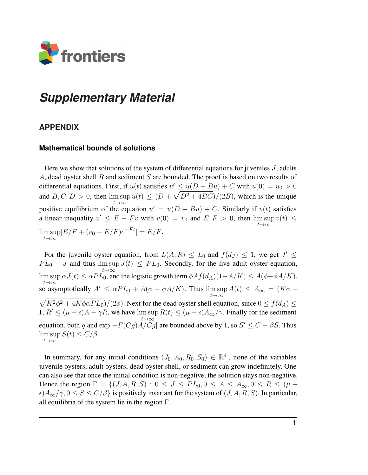

## *Supplementary Material*

## **APPENDIX**

## **Mathematical bounds of solutions**

Here we show that solutions of the system of differential equations for juveniles  $J$ , adults A, dead oyster shell R and sediment S are bounded. The proof is based on two results of differential equations. First, if  $u(t)$  satisfies  $u' \le u(D - Bu) + C$  with  $u(0) = u_0 > 0$ and  $B, C, D > 0$ , then  $\limsup u(t) \leq (D + \sqrt{D^2 + 4BC})/(2B)$ , which is the unique  $t\rightarrow\infty$ positive equilibrium of the equation  $u' = u(D - Bu) + C$ . Similarly if  $v(t)$  satisfies a linear inequality  $v' \leq E - Fv$  with  $v(0) = v_0$  and  $E, F > 0$ , then  $\limsup v(t) \leq$  $t\rightarrow\infty$  $\limsup [E/F + (v_0 - E/F)e^{-Ft}] = E/F.$  $t\rightarrow\infty$ 

For the juvenile oyster equation, from  $L(A, R) \leq L_0$  and  $f(d_J) \leq 1$ , we get  $J' \leq$  $PL_0 - J$  and thus  $\limsup J(t) \leq PL_0$ . Secondly, for the live adult oyster equation,  $t\rightarrow\infty$  $\limsup \alpha J(t) \leq \alpha PL_0$ , and the logistic growth term  $\phi A f(d_A)(1 - A/K) \leq A(\phi - \phi A/K)$ ,  $t\rightarrow\infty$ so asymptotically  $A' \le \alpha P L_0 + A(\phi - \phi A/K)$ . Thus  $\limsup A(t) \le A_{\infty} = (K\phi +$  $t\rightarrow\infty$  $\sqrt{K^2 \phi^2 + 4K \phi \alpha P L_0}$  /(2 $\phi$ ). Next for the dead oyster shell equation, since  $0 \le f(d_A) \le$ 1,  $R' \leq (\mu + \epsilon)A - \gamma R$ , we have  $\limsup R(t) \leq (\mu + \epsilon)A_{\infty}/\gamma$ . Finally for the sediment  $t\rightarrow\infty$ equation, both g and  $\exp[-F(Cg)A/Cg]$  are bounded above by 1, so  $S' \leq C - \beta S$ . Thus  $\limsup S(t) \le C/\beta.$  $t\rightarrow\infty$ 

In summary, for any initial conditions  $(J_0, A_0, R_0, S_0) \in \mathbb{R}^4_+$ , none of the variables juvenile oysters, adult oysters, dead oyster shell, or sediment can grow indefinitely. One can also see that once the initial condition is non-negative, the solution stays non-negative. Hence the region  $\Gamma = \{(J, A, R, S) : 0 \le J \le PL_0, 0 \le A \le A_\infty, 0 \le R \le (\mu + \frac{1}{2})\}$  $\epsilon$ ) $A_{\infty}/\gamma$ ,  $0 \leq S \leq C/\beta$  is positively invariant for the system of  $(J, A, R, S)$ . In particular, all equilibria of the system lie in the region Γ.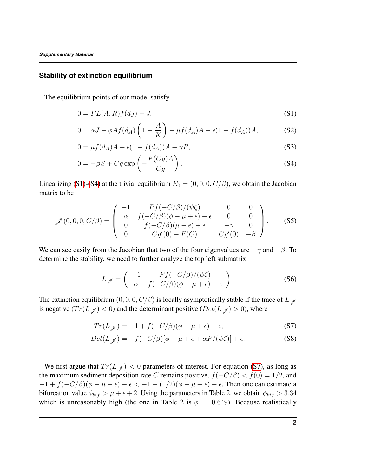## **Stability of extinction equilibrium**

The equilibrium points of our model satisfy

<span id="page-1-0"></span>
$$
0 = PL(A, R)f(dJ) - J,
$$
\n(S1)

$$
0 = \alpha J + \phi A f(d_A) \left( 1 - \frac{A}{K} \right) - \mu f(d_A) A - \epsilon (1 - f(d_A)) A,\tag{S2}
$$

$$
0 = \mu f(d_A)A + \epsilon (1 - f(d_A))A - \gamma R,\tag{S3}
$$

<span id="page-1-1"></span>
$$
0 = -\beta S + Cg \exp\left(-\frac{F(Cg)A}{Cg}\right). \tag{S4}
$$

Linearizing [\(S1\)](#page-1-0)-[\(S4\)](#page-1-1) at the trivial equilibrium  $E_0 = (0, 0, 0, C/\beta)$ , we obtain the Jacobian matrix to be

$$
\mathscr{J}(0,0,0,C/\beta) = \begin{pmatrix} -1 & Pf(-C/\beta)/(\psi\zeta) & 0 & 0\\ \alpha & f(-C/\beta)(\phi-\mu+\epsilon) - \epsilon & 0 & 0\\ 0 & f(-C/\beta)(\mu-\epsilon) + \epsilon & -\gamma & 0\\ 0 & Cg'(0) - F(C) & Cg'(0) & -\beta \end{pmatrix}.
$$
 (S5)

We can see easily from the Jacobian that two of the four eigenvalues are  $-\gamma$  and  $-\beta$ . To determine the stability, we need to further analyze the top left submatrix

<span id="page-1-2"></span>
$$
L_{\mathscr{J}} = \begin{pmatrix} -1 & Pf(-C/\beta)/(\psi\zeta) \\ \alpha & f(-C/\beta)(\phi - \mu + \epsilon) - \epsilon \end{pmatrix}.
$$
 (S6)

The extinction equilibrium  $(0, 0, 0, C/\beta)$  is locally asymptotically stable if the trace of L  $\mathcal{J}$ is negative  $(Tr(L_{\mathscr{J}}) < 0)$  and the determinant positive  $(Det(L_{\mathscr{J}}) > 0)$ , where

$$
Tr(L_{\mathscr{J}}) = -1 + f(-C/\beta)(\phi - \mu + \epsilon) - \epsilon,
$$
\n(S7)

$$
Det(L_{\mathscr{J}}) = -f(-C/\beta)[\phi - \mu + \epsilon + \alpha P/(\psi \zeta)] + \epsilon.
$$
 (S8)

We first argue that  $Tr(L_f) < 0$  parameters of interest. For equation [\(S7\)](#page-1-2), as long as the maximum sediment deposition rate C remains positive,  $f(-C/\beta) < f(0) = 1/2$ , and  $-1 + f(-C/\beta)(\phi - \mu + \epsilon) - \epsilon < -1 + (1/2)(\phi - \mu + \epsilon) - \epsilon$ . Then one can estimate a bifurcation value  $\phi_{bif} > \mu + \epsilon + 2$ . Using the parameters in Table 2, we obtain  $\phi_{bif} > 3.34$ which is unreasonably high (the one in Table 2 is  $\phi = 0.649$ ). Because realistically